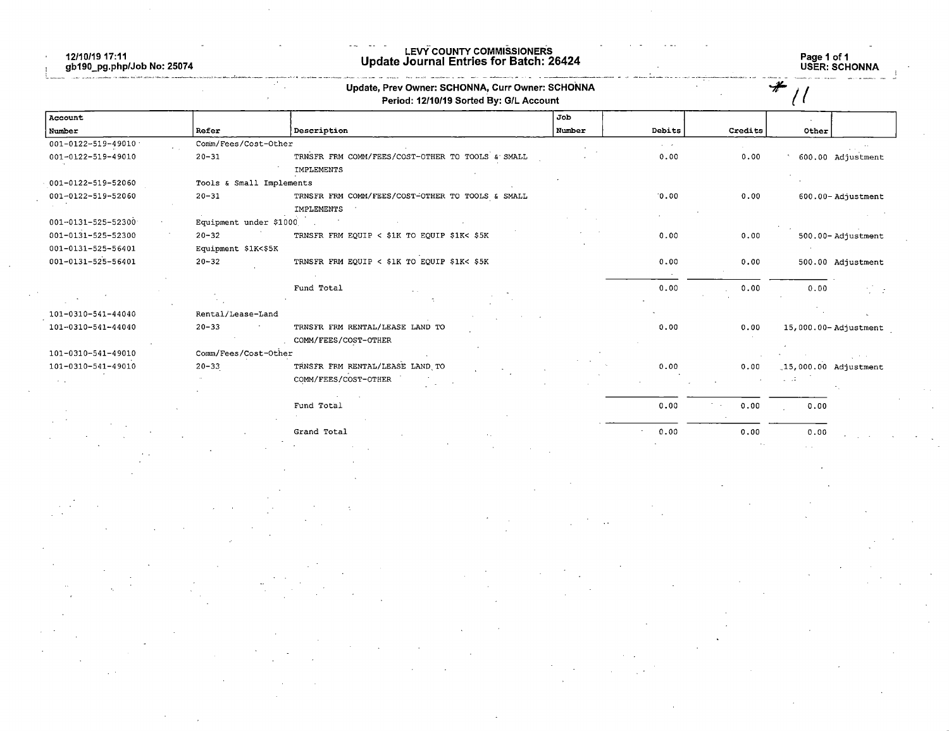12/10/19 17:11 gb190\_pg.php/Job No: 25074

 $\overline{\phantom{a}}$ 

### LEVY COUNTY GOMMiaSIONERS Update Journal Entries for Batch: 26424 Page 1 of 1

## Page 1 of 1<br>USER: SCHONNA

| Job<br>Description<br>Number<br>Refer<br>Debits<br>Credits<br>Other<br>Comm/Fees/Cost-Other<br>$\epsilon = \epsilon$<br>TRNSFR FRM COMM/FEES/COST-OTHER TO TOOLS & SMALL<br>$20 - 31$<br>0.00<br>600.00 Adjustment<br>0.00<br>IMPLEMENTS<br>Tools & Small Implements<br>$20 - 31$<br>0.00<br>TRNSFR FRM COMM/FEES/COST-OTHER TO TOOLS & SMALL<br>0.00<br>600.00-Adjustment<br>IMPLEMENTS<br>Equipment under $$1000$<br>001-0131-525-52300<br>$20 - 32$<br>TRNSFR FRM EQUIP < \$1K TO EQUIP \$1K< \$5K<br>0.00<br>0.00<br>500.00-Adjustment<br>001-0131-525-56401<br>Equipment \$1K<\$5K<br>$20 - 32$<br>TRNSFR FRM EQUIP < \$1K TO EQUIP \$1K< \$5K<br>0.00<br>0.00<br>500.00 Adjustment<br>Fund Total<br>0.00<br>0.00<br>0.00<br>101-0310-541-44040<br>Rental/Lease-Land<br>101-0310-541-44040<br>$20 - 33$<br>TRNSFR FRM RENTAL/LEASE LAND TO<br>0.00<br>15,000.00-Adjustment<br>0.00<br>COMM/FEES/COST-OTHER<br>$\texttt{Comm/Fees/Cost-Other}$<br>101-0310-541-49010<br>101-0310-541-49010<br>$20 - 33$<br>TRNSFR FRM RENTAL/LEASE LAND TO<br>0.00<br>0.00<br>15,000.00 Adjustment<br>COMM/FEES/COST-OTHER<br>0.00<br>Fund Total<br>0.00<br>0.00<br>0.00<br>Grand Total<br>0.00<br>0.00 |                            | Update, Prev Owner: SCHONNA, Curr Owner: SCHONNA<br>Period: 12/10/19 Sorted By: G/L Account |  | ∦ |
|---------------------------------------------------------------------------------------------------------------------------------------------------------------------------------------------------------------------------------------------------------------------------------------------------------------------------------------------------------------------------------------------------------------------------------------------------------------------------------------------------------------------------------------------------------------------------------------------------------------------------------------------------------------------------------------------------------------------------------------------------------------------------------------------------------------------------------------------------------------------------------------------------------------------------------------------------------------------------------------------------------------------------------------------------------------------------------------------------------------------------------------------------------------------------------------------|----------------------------|---------------------------------------------------------------------------------------------|--|---|
|                                                                                                                                                                                                                                                                                                                                                                                                                                                                                                                                                                                                                                                                                                                                                                                                                                                                                                                                                                                                                                                                                                                                                                                             | Account                    |                                                                                             |  |   |
|                                                                                                                                                                                                                                                                                                                                                                                                                                                                                                                                                                                                                                                                                                                                                                                                                                                                                                                                                                                                                                                                                                                                                                                             | Number                     |                                                                                             |  |   |
|                                                                                                                                                                                                                                                                                                                                                                                                                                                                                                                                                                                                                                                                                                                                                                                                                                                                                                                                                                                                                                                                                                                                                                                             | $001 - 0122 - 519 - 49010$ |                                                                                             |  |   |
|                                                                                                                                                                                                                                                                                                                                                                                                                                                                                                                                                                                                                                                                                                                                                                                                                                                                                                                                                                                                                                                                                                                                                                                             | 001-0122-519-49010         |                                                                                             |  |   |
|                                                                                                                                                                                                                                                                                                                                                                                                                                                                                                                                                                                                                                                                                                                                                                                                                                                                                                                                                                                                                                                                                                                                                                                             | 001-0122-519-52060         |                                                                                             |  |   |
|                                                                                                                                                                                                                                                                                                                                                                                                                                                                                                                                                                                                                                                                                                                                                                                                                                                                                                                                                                                                                                                                                                                                                                                             | 001-0122-519-52060         |                                                                                             |  |   |
|                                                                                                                                                                                                                                                                                                                                                                                                                                                                                                                                                                                                                                                                                                                                                                                                                                                                                                                                                                                                                                                                                                                                                                                             | 001-0131-525-52300         |                                                                                             |  |   |
|                                                                                                                                                                                                                                                                                                                                                                                                                                                                                                                                                                                                                                                                                                                                                                                                                                                                                                                                                                                                                                                                                                                                                                                             |                            |                                                                                             |  |   |
|                                                                                                                                                                                                                                                                                                                                                                                                                                                                                                                                                                                                                                                                                                                                                                                                                                                                                                                                                                                                                                                                                                                                                                                             |                            |                                                                                             |  |   |
|                                                                                                                                                                                                                                                                                                                                                                                                                                                                                                                                                                                                                                                                                                                                                                                                                                                                                                                                                                                                                                                                                                                                                                                             | 001-0131-525-56401         |                                                                                             |  |   |
|                                                                                                                                                                                                                                                                                                                                                                                                                                                                                                                                                                                                                                                                                                                                                                                                                                                                                                                                                                                                                                                                                                                                                                                             |                            |                                                                                             |  |   |
|                                                                                                                                                                                                                                                                                                                                                                                                                                                                                                                                                                                                                                                                                                                                                                                                                                                                                                                                                                                                                                                                                                                                                                                             |                            |                                                                                             |  |   |
|                                                                                                                                                                                                                                                                                                                                                                                                                                                                                                                                                                                                                                                                                                                                                                                                                                                                                                                                                                                                                                                                                                                                                                                             |                            |                                                                                             |  |   |
|                                                                                                                                                                                                                                                                                                                                                                                                                                                                                                                                                                                                                                                                                                                                                                                                                                                                                                                                                                                                                                                                                                                                                                                             |                            |                                                                                             |  |   |
|                                                                                                                                                                                                                                                                                                                                                                                                                                                                                                                                                                                                                                                                                                                                                                                                                                                                                                                                                                                                                                                                                                                                                                                             |                            |                                                                                             |  |   |
|                                                                                                                                                                                                                                                                                                                                                                                                                                                                                                                                                                                                                                                                                                                                                                                                                                                                                                                                                                                                                                                                                                                                                                                             |                            |                                                                                             |  |   |
|                                                                                                                                                                                                                                                                                                                                                                                                                                                                                                                                                                                                                                                                                                                                                                                                                                                                                                                                                                                                                                                                                                                                                                                             |                            |                                                                                             |  |   |
|                                                                                                                                                                                                                                                                                                                                                                                                                                                                                                                                                                                                                                                                                                                                                                                                                                                                                                                                                                                                                                                                                                                                                                                             |                            |                                                                                             |  |   |
|                                                                                                                                                                                                                                                                                                                                                                                                                                                                                                                                                                                                                                                                                                                                                                                                                                                                                                                                                                                                                                                                                                                                                                                             |                            |                                                                                             |  |   |
|                                                                                                                                                                                                                                                                                                                                                                                                                                                                                                                                                                                                                                                                                                                                                                                                                                                                                                                                                                                                                                                                                                                                                                                             |                            |                                                                                             |  |   |
|                                                                                                                                                                                                                                                                                                                                                                                                                                                                                                                                                                                                                                                                                                                                                                                                                                                                                                                                                                                                                                                                                                                                                                                             |                            |                                                                                             |  |   |
|                                                                                                                                                                                                                                                                                                                                                                                                                                                                                                                                                                                                                                                                                                                                                                                                                                                                                                                                                                                                                                                                                                                                                                                             |                            |                                                                                             |  |   |
|                                                                                                                                                                                                                                                                                                                                                                                                                                                                                                                                                                                                                                                                                                                                                                                                                                                                                                                                                                                                                                                                                                                                                                                             |                            |                                                                                             |  |   |
|                                                                                                                                                                                                                                                                                                                                                                                                                                                                                                                                                                                                                                                                                                                                                                                                                                                                                                                                                                                                                                                                                                                                                                                             |                            |                                                                                             |  |   |
|                                                                                                                                                                                                                                                                                                                                                                                                                                                                                                                                                                                                                                                                                                                                                                                                                                                                                                                                                                                                                                                                                                                                                                                             |                            |                                                                                             |  |   |
|                                                                                                                                                                                                                                                                                                                                                                                                                                                                                                                                                                                                                                                                                                                                                                                                                                                                                                                                                                                                                                                                                                                                                                                             |                            |                                                                                             |  |   |
|                                                                                                                                                                                                                                                                                                                                                                                                                                                                                                                                                                                                                                                                                                                                                                                                                                                                                                                                                                                                                                                                                                                                                                                             |                            |                                                                                             |  |   |
|                                                                                                                                                                                                                                                                                                                                                                                                                                                                                                                                                                                                                                                                                                                                                                                                                                                                                                                                                                                                                                                                                                                                                                                             |                            |                                                                                             |  |   |
|                                                                                                                                                                                                                                                                                                                                                                                                                                                                                                                                                                                                                                                                                                                                                                                                                                                                                                                                                                                                                                                                                                                                                                                             |                            |                                                                                             |  |   |
|                                                                                                                                                                                                                                                                                                                                                                                                                                                                                                                                                                                                                                                                                                                                                                                                                                                                                                                                                                                                                                                                                                                                                                                             |                            |                                                                                             |  |   |
|                                                                                                                                                                                                                                                                                                                                                                                                                                                                                                                                                                                                                                                                                                                                                                                                                                                                                                                                                                                                                                                                                                                                                                                             |                            |                                                                                             |  |   |
|                                                                                                                                                                                                                                                                                                                                                                                                                                                                                                                                                                                                                                                                                                                                                                                                                                                                                                                                                                                                                                                                                                                                                                                             |                            |                                                                                             |  |   |
|                                                                                                                                                                                                                                                                                                                                                                                                                                                                                                                                                                                                                                                                                                                                                                                                                                                                                                                                                                                                                                                                                                                                                                                             |                            |                                                                                             |  |   |
|                                                                                                                                                                                                                                                                                                                                                                                                                                                                                                                                                                                                                                                                                                                                                                                                                                                                                                                                                                                                                                                                                                                                                                                             |                            |                                                                                             |  |   |
|                                                                                                                                                                                                                                                                                                                                                                                                                                                                                                                                                                                                                                                                                                                                                                                                                                                                                                                                                                                                                                                                                                                                                                                             |                            |                                                                                             |  |   |
|                                                                                                                                                                                                                                                                                                                                                                                                                                                                                                                                                                                                                                                                                                                                                                                                                                                                                                                                                                                                                                                                                                                                                                                             |                            |                                                                                             |  |   |
|                                                                                                                                                                                                                                                                                                                                                                                                                                                                                                                                                                                                                                                                                                                                                                                                                                                                                                                                                                                                                                                                                                                                                                                             |                            |                                                                                             |  |   |
|                                                                                                                                                                                                                                                                                                                                                                                                                                                                                                                                                                                                                                                                                                                                                                                                                                                                                                                                                                                                                                                                                                                                                                                             |                            |                                                                                             |  |   |
|                                                                                                                                                                                                                                                                                                                                                                                                                                                                                                                                                                                                                                                                                                                                                                                                                                                                                                                                                                                                                                                                                                                                                                                             |                            |                                                                                             |  |   |
|                                                                                                                                                                                                                                                                                                                                                                                                                                                                                                                                                                                                                                                                                                                                                                                                                                                                                                                                                                                                                                                                                                                                                                                             |                            |                                                                                             |  |   |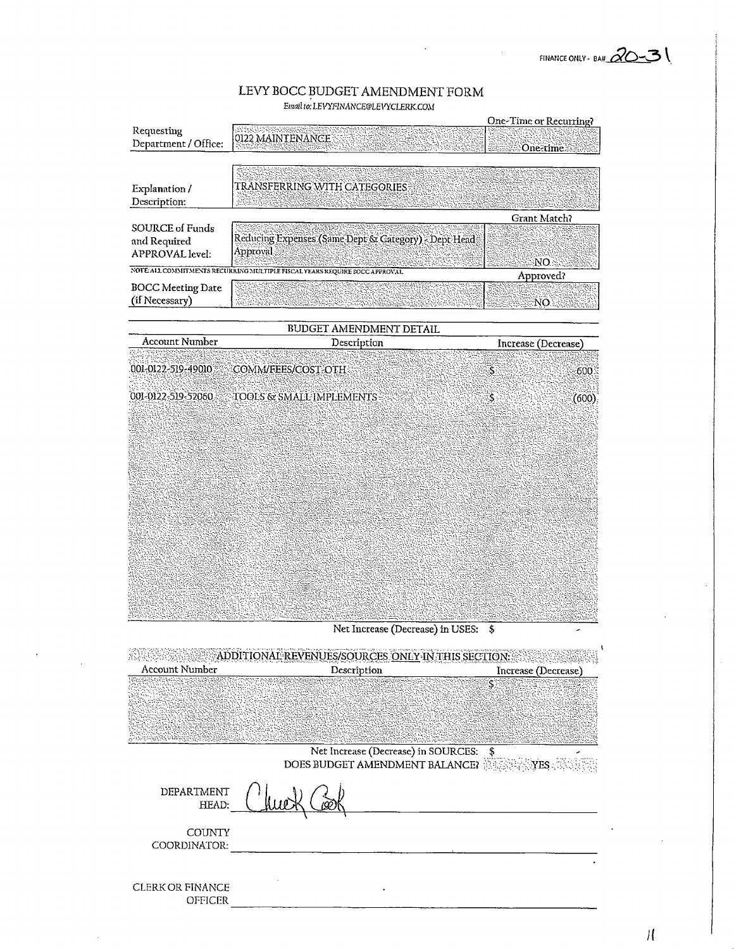FINANCE ONLY - BAH 20-31

 $\sim$ 

#### LEVY BOCC BUDGET AMENDMENT FORM Email to: LEVYFINANCE@LEVYCLERK.COM

| 0122 MAINTENANCE<br>Department / Office:<br>One-time.<br>TRANSFERRING WITH CATEGORIES<br>Explanation /<br>Description:<br>Grant Match?<br>SOURCE of Funds<br>Reducing Expenses (Same Dept & Category) > Dept Head<br>and Required<br>Approval<br>APPROVAL level:<br>NO.<br>NOTE ALL COMMITMENTS RECURRING MULTIPLE FISCAL YEARS REQUIRE FOCC APPROVAL<br>Approved?<br><b>BOCC</b> Meeting Date<br>(if Necessary)<br>NO.<br>BUDGET AMENDMENT DETAIL<br>Account Number<br>Description<br>001-0122-519-49010<br>COMM/FEES/COST-OTH<br>\$<br>001-0122-519-52060<br>TOOLS & SMALL IMPLEMENTS<br>Ş.<br>Net Increase (Decrease) in USES:<br>\$<br>ADDITIONAL REVENUES/SOURCES ONLY IN THIS SECTION:<br>Account Number<br>Description |            |                                     | One-Time or Recurring? |
|-------------------------------------------------------------------------------------------------------------------------------------------------------------------------------------------------------------------------------------------------------------------------------------------------------------------------------------------------------------------------------------------------------------------------------------------------------------------------------------------------------------------------------------------------------------------------------------------------------------------------------------------------------------------------------------------------------------------------------|------------|-------------------------------------|------------------------|
|                                                                                                                                                                                                                                                                                                                                                                                                                                                                                                                                                                                                                                                                                                                               | Requesting |                                     |                        |
|                                                                                                                                                                                                                                                                                                                                                                                                                                                                                                                                                                                                                                                                                                                               |            |                                     |                        |
|                                                                                                                                                                                                                                                                                                                                                                                                                                                                                                                                                                                                                                                                                                                               |            |                                     |                        |
|                                                                                                                                                                                                                                                                                                                                                                                                                                                                                                                                                                                                                                                                                                                               |            |                                     |                        |
|                                                                                                                                                                                                                                                                                                                                                                                                                                                                                                                                                                                                                                                                                                                               |            |                                     |                        |
|                                                                                                                                                                                                                                                                                                                                                                                                                                                                                                                                                                                                                                                                                                                               |            |                                     |                        |
|                                                                                                                                                                                                                                                                                                                                                                                                                                                                                                                                                                                                                                                                                                                               |            |                                     | Increase (Decrease)    |
|                                                                                                                                                                                                                                                                                                                                                                                                                                                                                                                                                                                                                                                                                                                               |            |                                     | 600                    |
|                                                                                                                                                                                                                                                                                                                                                                                                                                                                                                                                                                                                                                                                                                                               |            |                                     | (600)                  |
|                                                                                                                                                                                                                                                                                                                                                                                                                                                                                                                                                                                                                                                                                                                               |            |                                     |                        |
|                                                                                                                                                                                                                                                                                                                                                                                                                                                                                                                                                                                                                                                                                                                               |            |                                     | Increase (Decrease)    |
|                                                                                                                                                                                                                                                                                                                                                                                                                                                                                                                                                                                                                                                                                                                               |            |                                     |                        |
| \$<br>DOES BUDGET AMENDMENT BALANCE?                                                                                                                                                                                                                                                                                                                                                                                                                                                                                                                                                                                                                                                                                          |            | Net Increase (Decrease) in SOURCES: |                        |
| DEPARTMENT<br>HEAD:                                                                                                                                                                                                                                                                                                                                                                                                                                                                                                                                                                                                                                                                                                           |            |                                     |                        |
| COUNTY<br>COORDINATOR:                                                                                                                                                                                                                                                                                                                                                                                                                                                                                                                                                                                                                                                                                                        |            |                                     |                        |

 $\bar{\mathcal{A}}$ 

CLERK OR FINANCE OFFICER

 $\lambda$ 

 $\overline{\mathcal{U}}$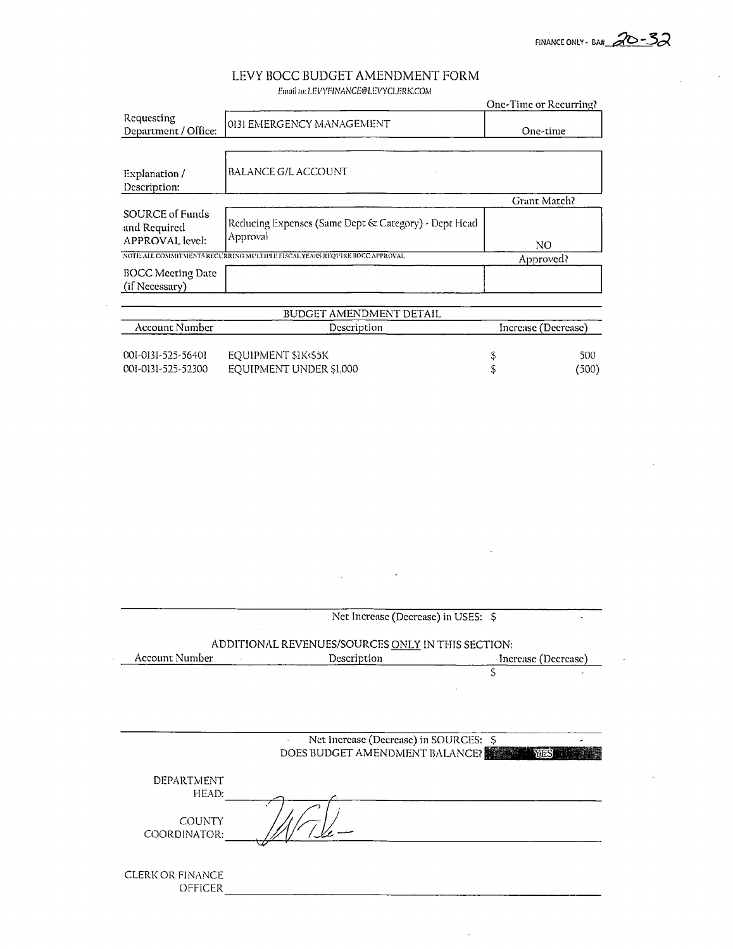FINANCE ONLY - BAH

 $\sim 10^6$ 

 $\mathcal{L}^{\text{max}}$ 

### LEVY BOCC BUDGET AMENDMENT FORM

Email to: LEVYFINANCE@LEVYCLERK.COM

|                                                           |                                                                            | One-Time or Recurring? |
|-----------------------------------------------------------|----------------------------------------------------------------------------|------------------------|
| Requesting<br>Department / Office:                        | 0131 EMERGENCY MANAGEMENT                                                  | One-time               |
|                                                           |                                                                            |                        |
| Explanation/<br>Description:                              | BALANCE G/L ACCOUNT                                                        |                        |
|                                                           |                                                                            | Grant Match?           |
| SOURCE of Funds<br>and Required<br><b>APPROVAL</b> level: | Reducing Expenses (Same Dept & Category) - Dept Head<br>Approval           | NO.                    |
|                                                           | NOTE ALL COMMITMENTS RECURRING MULTIPLE FISCAL YEARS REQUIRE BOCC APPROVAL | Approved?              |
| <b>BOCC Meeting Date</b><br>(if Necessary)                |                                                                            |                        |
|                                                           | RI IDCET AMENDMENT DETAH                                                   |                        |

| BUDGET AMENDMENT DETAIL                  |                                                |   |                     |
|------------------------------------------|------------------------------------------------|---|---------------------|
| Account Number                           | Description                                    |   | Increase (Decrease) |
| 001-0131-525-56401<br>001-0131-525-52300 | EOUIPMENT \$1K<\$5K<br>EQUIPMENT UNDER \$1,000 | S | 500<br>(500)        |

 $\sim$ 

 $\mathcal{L}_{\mathcal{A}}$ 

|                         | Net Increase (Decrease) in USES: \$               |                     |  |
|-------------------------|---------------------------------------------------|---------------------|--|
|                         | ADDITIONAL REVENUES/SOURCES ONLY IN THIS SECTION: |                     |  |
| Account Number          | Description                                       | Increase (Decrease) |  |
|                         |                                                   |                     |  |
|                         |                                                   |                     |  |
|                         |                                                   |                     |  |
|                         |                                                   |                     |  |
|                         |                                                   |                     |  |
|                         | Net Increase (Decrease) in SOURCES: \$            |                     |  |
|                         | DOES BUDGET AMENDMENT BALANCE?                    |                     |  |
|                         |                                                   |                     |  |
| DEPARTMENT              |                                                   |                     |  |
| HEAD:                   |                                                   |                     |  |
|                         |                                                   |                     |  |
| <b>COUNTY</b>           |                                                   |                     |  |
| COORDINATOR:            |                                                   |                     |  |
|                         |                                                   |                     |  |
| <b>CLERK OR FINANCE</b> |                                                   |                     |  |
| OFFICER                 |                                                   |                     |  |
|                         |                                                   |                     |  |

 $\sim$ 

 $\bar{a}$